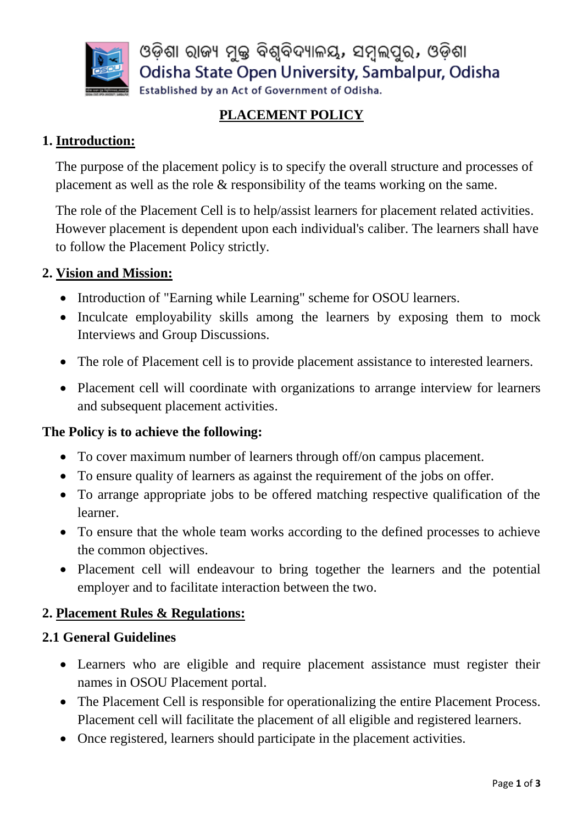

ଓଡ଼ିଶା ରାଜ୍ୟ ମୁକ୍ତ ବିଶ୍ୱବିଦ୍ୟାଳୟ, ସମ୍ବଲପୁର, ଓଡ଼ିଶା Odisha State Open University, Sambalpur, Odisha Established by an Act of Government of Odisha.

# **PLACEMENT POLICY**

## **1. Introduction:**

The purpose of the placement policy is to specify the overall structure and processes of placement as well as the role & responsibility of the teams working on the same.

The role of the Placement Cell is to help/assist learners for placement related activities. However placement is dependent upon each individual's caliber. The learners shall have to follow the Placement Policy strictly.

## **2. Vision and Mission:**

- Introduction of "Earning while Learning" scheme for OSOU learners.
- Inculcate employability skills among the learners by exposing them to mock Interviews and Group Discussions.
- The role of Placement cell is to provide placement assistance to interested learners.
- Placement cell will coordinate with organizations to arrange interview for learners and subsequent placement activities.

## **The Policy is to achieve the following:**

- To cover maximum number of learners through off/on campus placement.
- To ensure quality of learners as against the requirement of the jobs on offer.
- To arrange appropriate jobs to be offered matching respective qualification of the learner.
- To ensure that the whole team works according to the defined processes to achieve the common objectives.
- Placement cell will endeavour to bring together the learners and the potential employer and to facilitate interaction between the two.

## **2. Placement Rules & Regulations:**

## **2.1 General Guidelines**

- Learners who are eligible and require placement assistance must register their names in OSOU Placement portal.
- The Placement Cell is responsible for operationalizing the entire Placement Process. Placement cell will facilitate the placement of all eligible and registered learners.
- Once registered, learners should participate in the placement activities.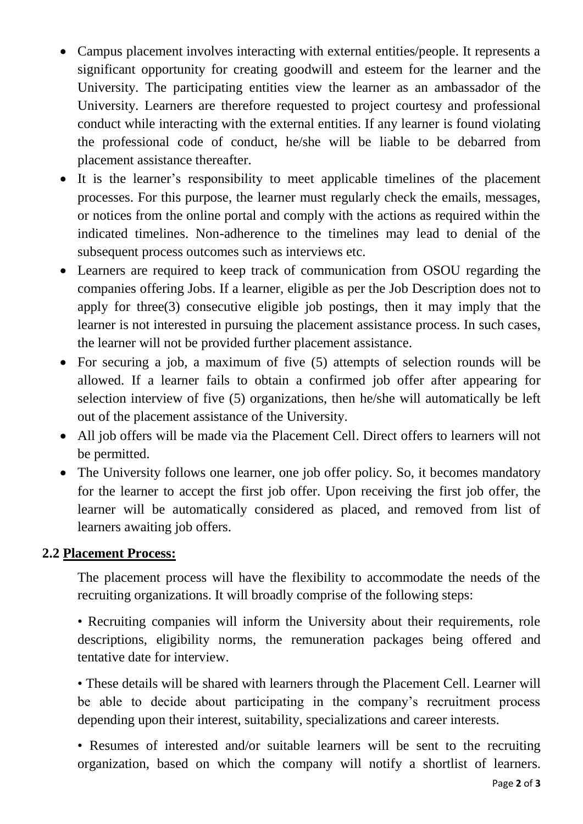- Campus placement involves interacting with external entities/people. It represents a significant opportunity for creating goodwill and esteem for the learner and the University. The participating entities view the learner as an ambassador of the University. Learners are therefore requested to project courtesy and professional conduct while interacting with the external entities. If any learner is found violating the professional code of conduct, he/she will be liable to be debarred from placement assistance thereafter.
- It is the learner's responsibility to meet applicable timelines of the placement processes. For this purpose, the learner must regularly check the emails, messages, or notices from the online portal and comply with the actions as required within the indicated timelines. Non-adherence to the timelines may lead to denial of the subsequent process outcomes such as interviews etc.
- Learners are required to keep track of communication from OSOU regarding the companies offering Jobs. If a learner, eligible as per the Job Description does not to apply for three(3) consecutive eligible job postings, then it may imply that the learner is not interested in pursuing the placement assistance process. In such cases, the learner will not be provided further placement assistance.
- For securing a job, a maximum of five (5) attempts of selection rounds will be allowed. If a learner fails to obtain a confirmed job offer after appearing for selection interview of five (5) organizations, then he/she will automatically be left out of the placement assistance of the University.
- All job offers will be made via the Placement Cell. Direct offers to learners will not be permitted.
- The University follows one learner, one job offer policy. So, it becomes mandatory for the learner to accept the first job offer. Upon receiving the first job offer, the learner will be automatically considered as placed, and removed from list of learners awaiting job offers.

#### **2.2 Placement Process:**

The placement process will have the flexibility to accommodate the needs of the recruiting organizations. It will broadly comprise of the following steps:

• Recruiting companies will inform the University about their requirements, role descriptions, eligibility norms, the remuneration packages being offered and tentative date for interview.

• These details will be shared with learners through the Placement Cell. Learner will be able to decide about participating in the company's recruitment process depending upon their interest, suitability, specializations and career interests.

• Resumes of interested and/or suitable learners will be sent to the recruiting organization, based on which the company will notify a shortlist of learners.